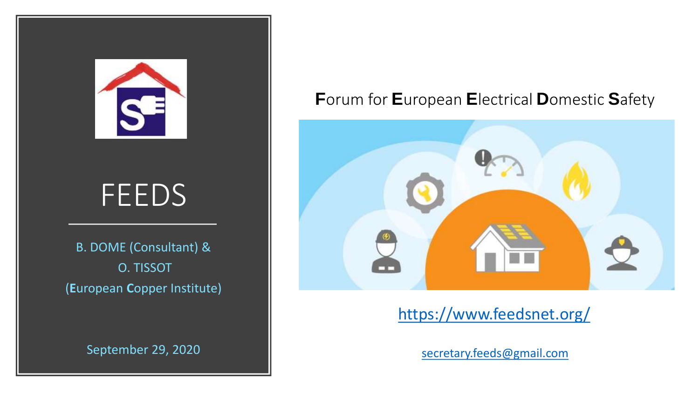

# FEEDS

B. DOME (Consultant) & O. TISSOT (**E**uropean **C**opper Institute)

September 29, 2020

### **F**orum for **E**uropean **E**lectrical **D**omestic **S**afety



### <https://www.feedsnet.org/>

[secretary.feeds@gmail.com](mailto:secretary.feeds@gmail.com)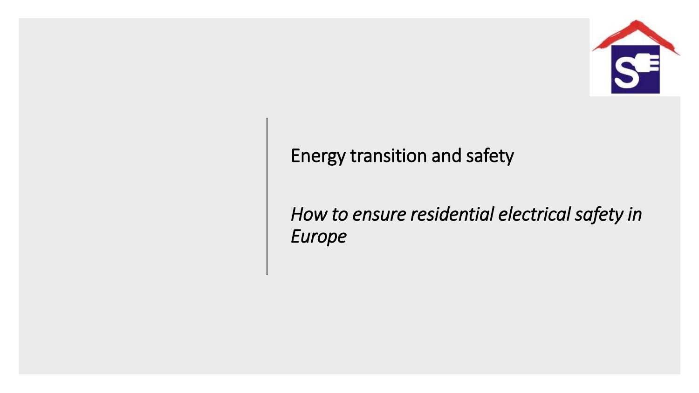

## Energy transition and safety

*How to ensure residential electrical safety in Europe*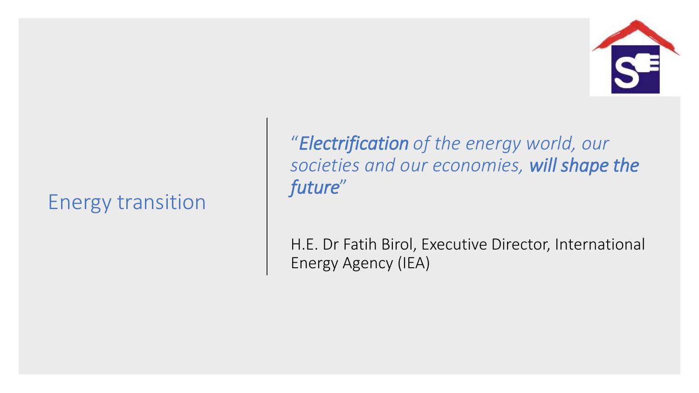## Energy transition

"*Electrification of the energy world, our societies and our economies, will shape the future*"

H.E. Dr Fatih Birol, Executive Director, International Energy Agency (IEA)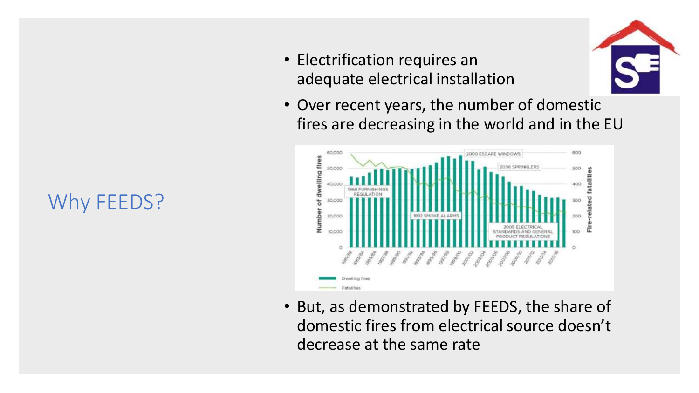# Why FEEDS?

• Electrification requires an adequate electrical installation



• Over recent years, the number of domestic fires are decreasing in the world and in the EU



• But, as demonstrated by FEEDS, the share of domestic fires from electrical source doesn't decrease at the same rate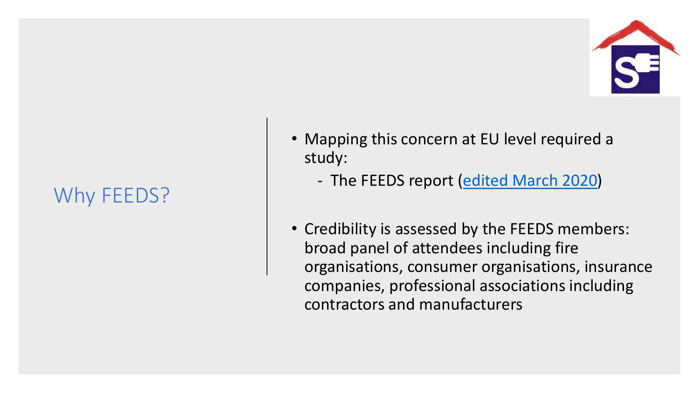# Why FEEDS?

- Mapping this concern at EU level required a study:
	- The FEEDS report ([edited March 2020\)](https://drive.google.com/file/d/1K73MlclJfM_miAcHhS3ojlAGl81zOooR/view)
- Credibility is assessed by the FEEDS members: broad panel of attendees including fire organisations, consumer organisations, insurance companies, professional associations including contractors and manufacturers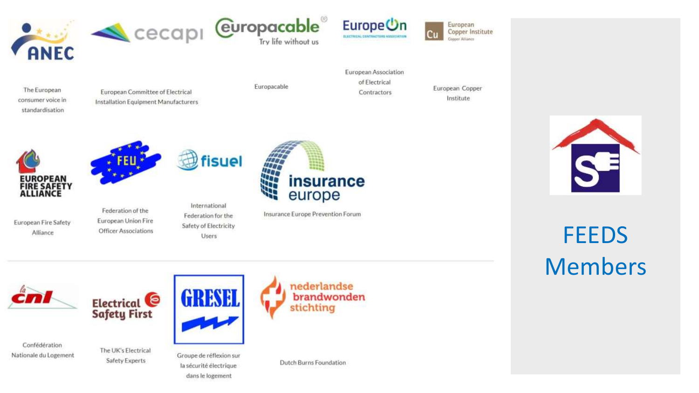



fisuel



European Copper Institute Сu Copper Alliance

The European consumer voice in standardisation

European Committee of Electrical **Installation Equipment Manufacturers**  Europacable

European Association of Electrical Contractors

European Copper Institute



European Fire Safety

Alliance





European Union Fire Officer Associations

International Federation for the Safety of Electricity



Insurance Europe Prevention Forum



**FEEDS** Members



Electrical<sup>e</sup> **Safety First** 

Confédération Nationale du Logement

The UK's Electrical Safety Experts



Users

Groupe de réflexion sur la sécurité électrique dans le logement

nederlandse brandwonden stichting

Dutch Burns Foundation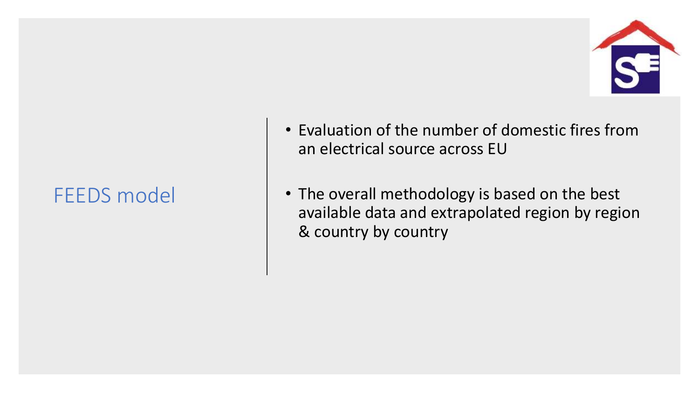- Evaluation of the number of domestic fires from an electrical source across EU
- The overall methodology is based on the best available data and extrapolated region by region & country by country

# FEEDS model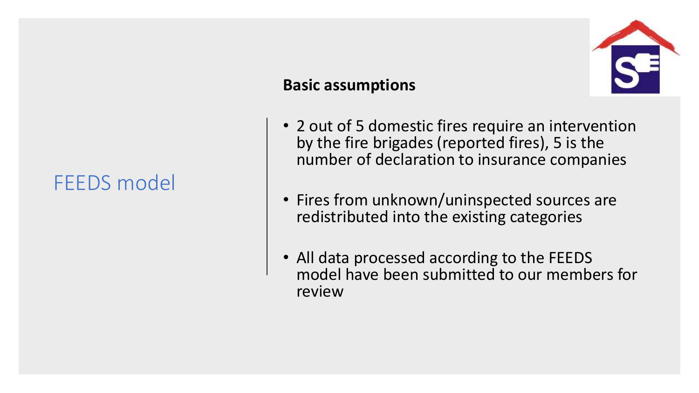## FEEDS model

### **Basic assumptions**



- 2 out of 5 domestic fires require an intervention by the fire brigades (reported fires), 5 is the number of declaration to insurance companies
- Fires from unknown/uninspected sources are redistributed into the existing categories
- All data processed according to the FEEDS model have been submitted to our members for review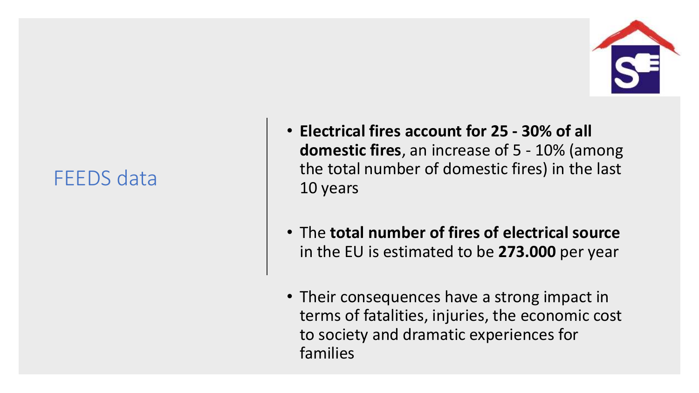## FEEDS data

- **Electrical fires account for 25 - 30% of all domestic fires**, an increase of 5 - 10% (among the total number of domestic fires) in the last 10 years
- The **total number of fires of electrical source**  in the EU is estimated to be **273.000** per year
- Their consequences have a strong impact in terms of fatalities, injuries, the economic cost to society and dramatic experiences for families

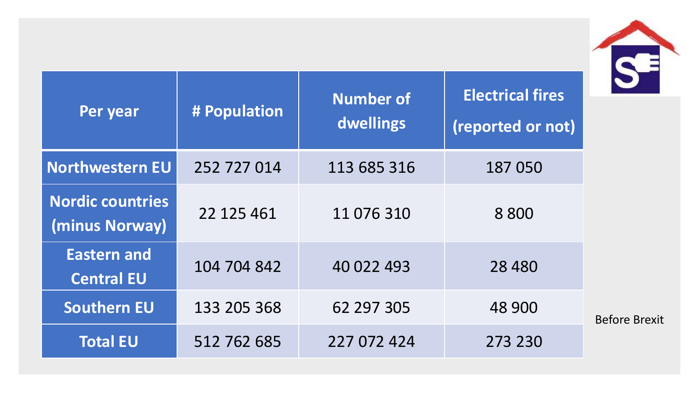| Per year                                  | # Population | <b>Number of</b><br>dwellings | <b>Electrical fires</b><br>(reported or not) |  |  |
|-------------------------------------------|--------------|-------------------------------|----------------------------------------------|--|--|
| Northwestern EU                           | 252 727 014  | 113 685 316                   | 187 050                                      |  |  |
| <b>Nordic countries</b><br>(minus Norway) | 22 125 461   | 11 076 310                    | 8 8 0 0                                      |  |  |
| <b>Eastern and</b><br><b>Central EU</b>   | 104 704 842  | 40 022 493                    | 28 4 8 0                                     |  |  |
| <b>Southern EU</b>                        | 133 205 368  | 62 297 305                    | 48 900                                       |  |  |
| <b>Total EU</b>                           | 512 762 685  | 227 072 424                   | 273 230                                      |  |  |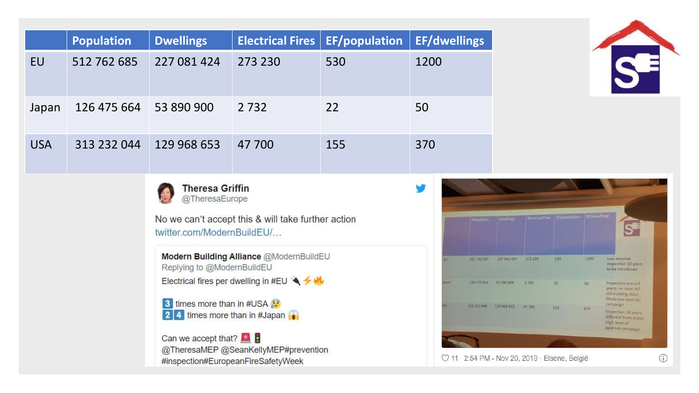|            | <b>Population</b>                                                                                                            | <b>Dwellings</b>                                                                                              | <b>Electrical Fires</b>      | <b>EF/population</b> | <b>EF/dwellings</b> |  |  |                                                   |                 |                                              |      |                                                                                                                           |
|------------|------------------------------------------------------------------------------------------------------------------------------|---------------------------------------------------------------------------------------------------------------|------------------------------|----------------------|---------------------|--|--|---------------------------------------------------|-----------------|----------------------------------------------|------|---------------------------------------------------------------------------------------------------------------------------|
| EU         | 512 762 685                                                                                                                  | 227 081 424                                                                                                   | 273 230                      | 530                  | 1200                |  |  |                                                   |                 |                                              |      |                                                                                                                           |
| Japan      | 126 475 664                                                                                                                  | 53 890 900                                                                                                    | 2 7 3 2                      | 22                   | 50                  |  |  |                                                   |                 |                                              |      |                                                                                                                           |
| <b>USA</b> | 313 232 044                                                                                                                  | 129 968 653                                                                                                   | 47 700                       | 155                  | 370                 |  |  |                                                   |                 |                                              |      |                                                                                                                           |
|            | <b>Theresa Griffin</b><br>@TheresaEurope<br>No we can't accept this & will take further action<br>twitter.com/ModernBuildEU/ |                                                                                                               |                              |                      |                     |  |  |                                                   |                 |                                              |      | <b>SE</b>                                                                                                                 |
|            |                                                                                                                              | Modern Building Alliance @ModernBuildEU<br>Replying to @ModernBuildEU<br>Electrical fires per dwelling in #EU |                              |                      |                     |  |  | 512 762 685 227 081 424<br>126 475 664 53 890 900 | .273230<br>2732 | 530<br>22                                    | 1200 | Low awarnes<br>Inspection 10 years<br>to be introduced<br>Inspection every 4<br>years, no issue wih<br>ald building stock |
|            |                                                                                                                              | 3 times more than in #USA<br>Can we accept that?                                                              | 24 times more than in #Japan |                      |                     |  |  |                                                   |                 | 155                                          | 370  | Moderate awarnes<br>carnpaign<br>Inspection 10 years,<br>different from states<br>High level of<br>awarnes campaign       |
|            |                                                                                                                              | @TheresaMEP @SeanKellyMEP#prevention<br>#inspection#EuropeanFireSafetyWeek                                    |                              |                      |                     |  |  |                                                   |                 | 7 11 2:54 PM - Nov 20, 2019 · Elsene, België |      |                                                                                                                           |

stock varnes O years, m states aign.

 $\odot$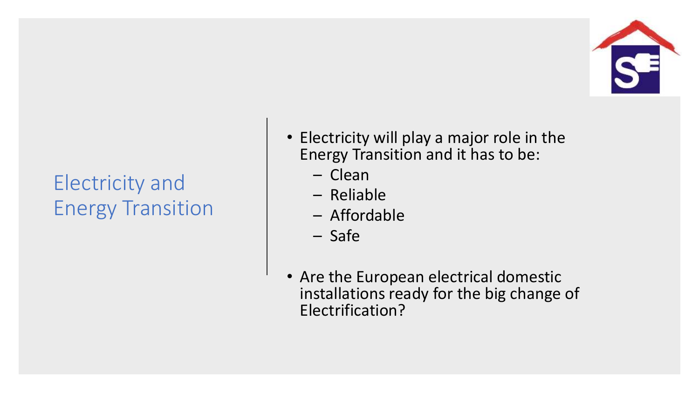

# Electricity and Energy Transition

- Electricity will play a major role in the Energy Transition and it has to be:
	- Clean
	- Reliable
	- Affordable
	- Safe
- Are the European electrical domestic installations ready for the big change of Electrification?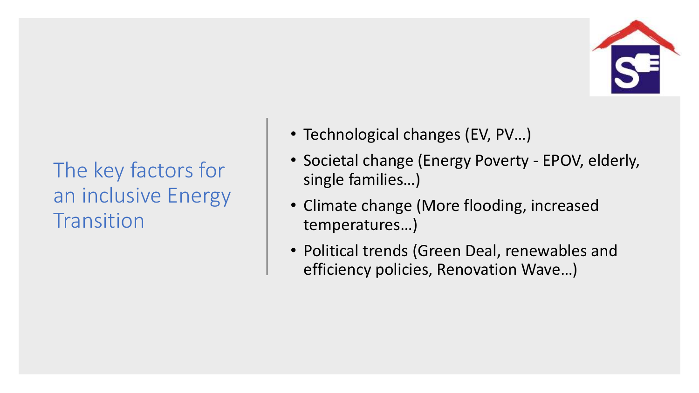

The key factors for an inclusive Energy **Transition** 

- Technological changes (EV, PV…)
- Societal change (Energy Poverty EPOV, elderly, single families…)
- Climate change (More flooding, increased temperatures…)
- Political trends (Green Deal, renewables and efficiency policies, Renovation Wave…)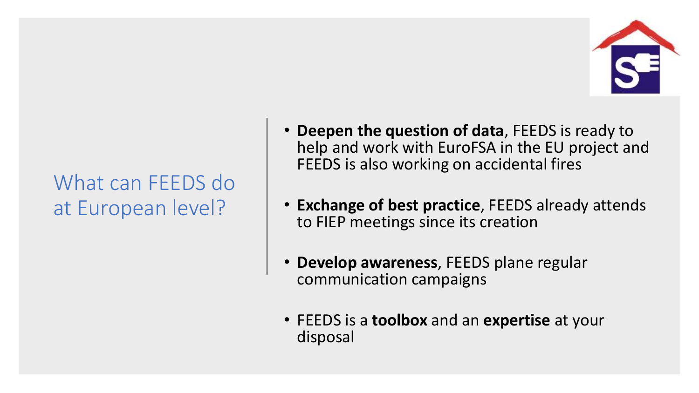

# What can FEEDS do at European level?

- **Deepen the question of data**, FEEDS is ready to help and work with EuroFSA in the EU project and FEEDS is also working on accidental fires
- **Exchange of best practice**, FEEDS already attends to FIEP meetings since its creation
- **Develop awareness**, FEEDS plane regular communication campaigns
- FEEDS is a **toolbox** and an **expertise** at your disposal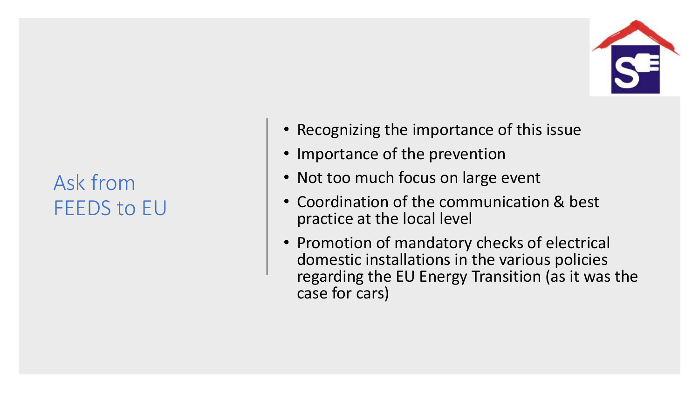

# Ask from FEEDS to EU

- Recognizing the importance of this issue
- Importance of the prevention
- Not too much focus on large event
- Coordination of the communication & best practice at the local level
- Promotion of mandatory checks of electrical domestic installations in the various policies regarding the EU Energy Transition (as it was the case for cars)